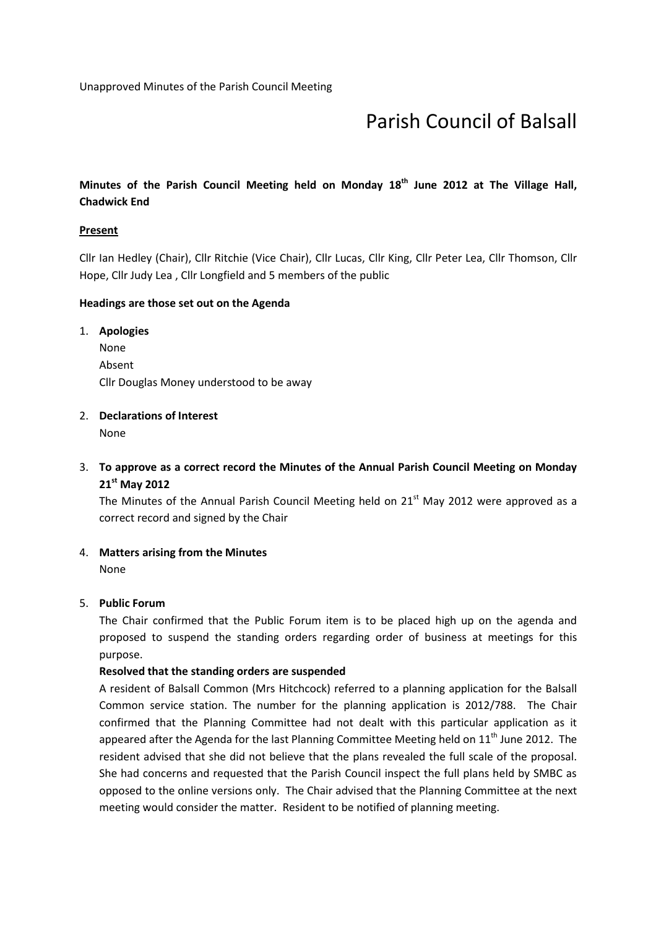# Parish Council of Balsall

## Minutes of the Parish Council Meeting held on Monday  $18<sup>th</sup>$  June 2012 at The Village Hall, Chadwick End

## **Present**

Cllr Ian Hedley (Chair), Cllr Ritchie (Vice Chair), Cllr Lucas, Cllr King, Cllr Peter Lea, Cllr Thomson, Cllr Hope, Cllr Judy Lea , Cllr Longfield and 5 members of the public

## Headings are those set out on the Agenda

1. Apologies None Absent Cllr Douglas Money understood to be away

## 2. Declarations of Interest

None

# 3. To approve as a correct record the Minutes of the Annual Parish Council Meeting on Monday 21<sup>st</sup> May 2012

The Minutes of the Annual Parish Council Meeting held on 21<sup>st</sup> May 2012 were approved as a correct record and signed by the Chair

## 4. Matters arising from the Minutes

None

## 5. Public Forum

The Chair confirmed that the Public Forum item is to be placed high up on the agenda and proposed to suspend the standing orders regarding order of business at meetings for this purpose.

## Resolved that the standing orders are suspended

A resident of Balsall Common (Mrs Hitchcock) referred to a planning application for the Balsall Common service station. The number for the planning application is 2012/788. The Chair confirmed that the Planning Committee had not dealt with this particular application as it appeared after the Agenda for the last Planning Committee Meeting held on  $11<sup>th</sup>$  June 2012. The resident advised that she did not believe that the plans revealed the full scale of the proposal. She had concerns and requested that the Parish Council inspect the full plans held by SMBC as opposed to the online versions only. The Chair advised that the Planning Committee at the next meeting would consider the matter. Resident to be notified of planning meeting.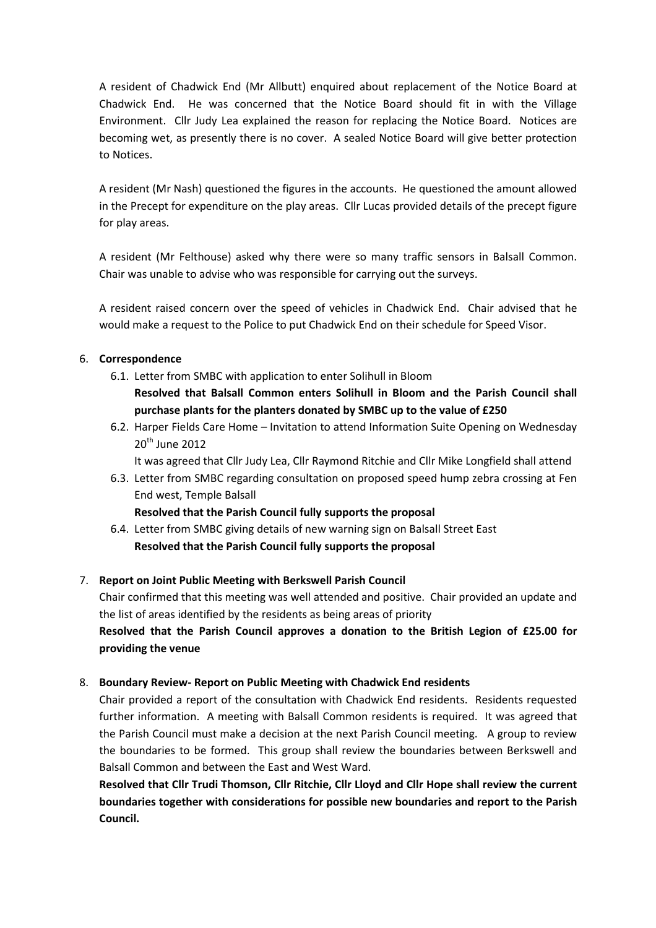A resident of Chadwick End (Mr Allbutt) enquired about replacement of the Notice Board at Chadwick End. He was concerned that the Notice Board should fit in with the Village Environment. Cllr Judy Lea explained the reason for replacing the Notice Board. Notices are becoming wet, as presently there is no cover. A sealed Notice Board will give better protection to Notices.

A resident (Mr Nash) questioned the figures in the accounts. He questioned the amount allowed in the Precept for expenditure on the play areas. Cllr Lucas provided details of the precept figure for play areas.

A resident (Mr Felthouse) asked why there were so many traffic sensors in Balsall Common. Chair was unable to advise who was responsible for carrying out the surveys.

A resident raised concern over the speed of vehicles in Chadwick End. Chair advised that he would make a request to the Police to put Chadwick End on their schedule for Speed Visor.

## 6. Correspondence

- 6.1. Letter from SMBC with application to enter Solihull in Bloom Resolved that Balsall Common enters Solihull in Bloom and the Parish Council shall purchase plants for the planters donated by SMBC up to the value of £250
- 6.2. Harper Fields Care Home Invitation to attend Information Suite Opening on Wednesday  $20<sup>th</sup>$  June 2012

It was agreed that Cllr Judy Lea, Cllr Raymond Ritchie and Cllr Mike Longfield shall attend

6.3. Letter from SMBC regarding consultation on proposed speed hump zebra crossing at Fen End west, Temple Balsall

## Resolved that the Parish Council fully supports the proposal

6.4. Letter from SMBC giving details of new warning sign on Balsall Street East Resolved that the Parish Council fully supports the proposal

## 7. Report on Joint Public Meeting with Berkswell Parish Council

Chair confirmed that this meeting was well attended and positive. Chair provided an update and the list of areas identified by the residents as being areas of priority

Resolved that the Parish Council approves a donation to the British Legion of £25.00 for providing the venue

## 8. Boundary Review- Report on Public Meeting with Chadwick End residents

Chair provided a report of the consultation with Chadwick End residents. Residents requested further information. A meeting with Balsall Common residents is required. It was agreed that the Parish Council must make a decision at the next Parish Council meeting. A group to review the boundaries to be formed. This group shall review the boundaries between Berkswell and Balsall Common and between the East and West Ward.

Resolved that Cllr Trudi Thomson, Cllr Ritchie, Cllr Lloyd and Cllr Hope shall review the current boundaries together with considerations for possible new boundaries and report to the Parish Council.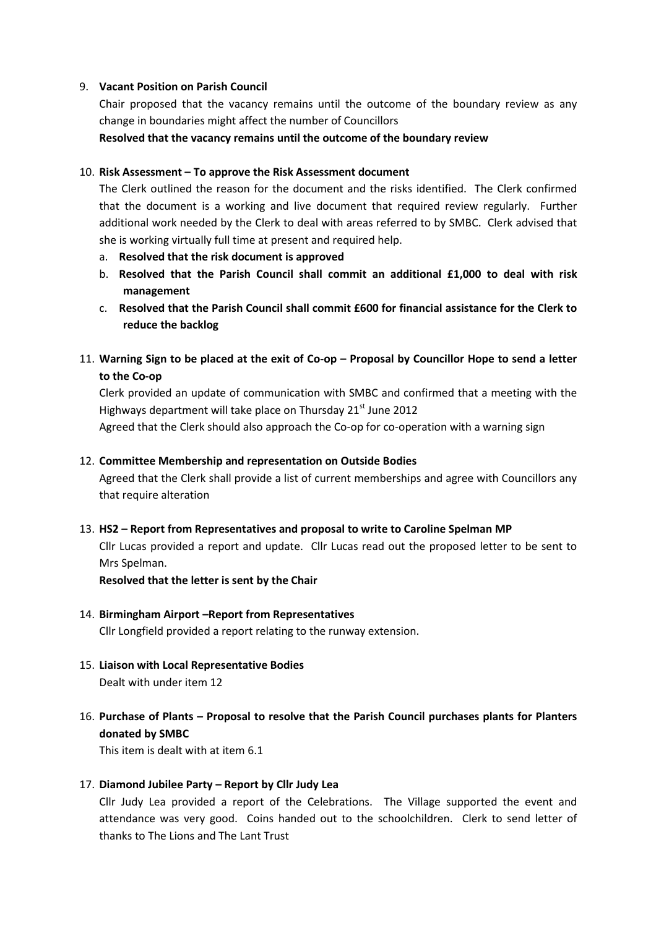## 9. Vacant Position on Parish Council

Chair proposed that the vacancy remains until the outcome of the boundary review as any change in boundaries might affect the number of Councillors

Resolved that the vacancy remains until the outcome of the boundary review

## 10. Risk Assessment – To approve the Risk Assessment document

The Clerk outlined the reason for the document and the risks identified. The Clerk confirmed that the document is a working and live document that required review regularly. Further additional work needed by the Clerk to deal with areas referred to by SMBC. Clerk advised that she is working virtually full time at present and required help.

- a. Resolved that the risk document is approved
- b. Resolved that the Parish Council shall commit an additional £1,000 to deal with risk management
- c. Resolved that the Parish Council shall commit £600 for financial assistance for the Clerk to reduce the backlog
- 11. Warning Sign to be placed at the exit of Co-op Proposal by Councillor Hope to send a letter to the Co-op

Clerk provided an update of communication with SMBC and confirmed that a meeting with the Highways department will take place on Thursday  $21<sup>st</sup>$  June 2012 Agreed that the Clerk should also approach the Co-op for co-operation with a warning sign

## 12. Committee Membership and representation on Outside Bodies

Agreed that the Clerk shall provide a list of current memberships and agree with Councillors any that require alteration

## 13. HS2 – Report from Representatives and proposal to write to Caroline Spelman MP

Cllr Lucas provided a report and update. Cllr Lucas read out the proposed letter to be sent to Mrs Spelman.

Resolved that the letter is sent by the Chair

## 14. Birmingham Airport –Report from Representatives

Cllr Longfield provided a report relating to the runway extension.

- 15. Liaison with Local Representative Bodies Dealt with under item 12
- 16. Purchase of Plants Proposal to resolve that the Parish Council purchases plants for Planters donated by SMBC

This item is dealt with at item 6.1

## 17. Diamond Jubilee Party – Report by Cllr Judy Lea

Cllr Judy Lea provided a report of the Celebrations. The Village supported the event and attendance was very good. Coins handed out to the schoolchildren. Clerk to send letter of thanks to The Lions and The Lant Trust